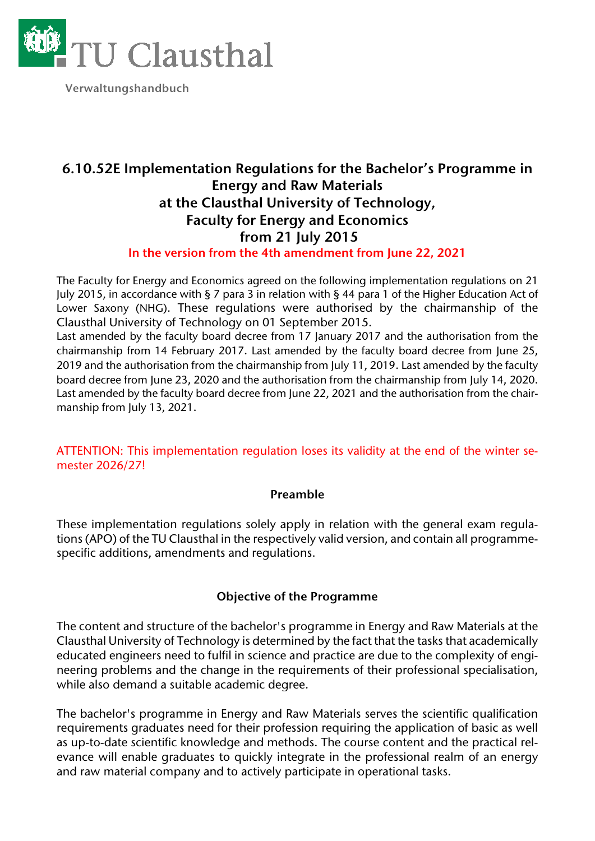

 **Verwaltungshandbuch** 

## **6.10.52E Implementation Regulations for the Bachelor's Programme in Energy and Raw Materials at the Clausthal University of Technology, Faculty for Energy and Economics from 21 July 2015 In the version from the 4th amendment from June 22, 2021**

The Faculty for Energy and Economics agreed on the following implementation regulations on 21 July 2015, in accordance with § 7 para 3 in relation with § 44 para 1 of the Higher Education Act of Lower Saxony (NHG). These regulations were authorised by the chairmanship of the Clausthal University of Technology on 01 September 2015.

Last amended by the faculty board decree from 17 January 2017 and the authorisation from the chairmanship from 14 February 2017. Last amended by the faculty board decree from June 25, 2019 and the authorisation from the chairmanship from July 11, 2019. Last amended by the faculty board decree from June 23, 2020 and the authorisation from the chairmanship from July 14, 2020. Last amended by the faculty board decree from June 22, 2021 and the authorisation from the chairmanship from July 13, 2021.

ATTENTION: This implementation regulation loses its validity at the end of the winter semester 2026/27!

#### **Preamble**

These implementation regulations solely apply in relation with the general exam regulations (APO) of the TU Clausthal in the respectively valid version, and contain all programmespecific additions, amendments and regulations.

#### **Objective of the Programme**

The content and structure of the bachelor's programme in Energy and Raw Materials at the Clausthal University of Technology is determined by the fact that the tasks that academically educated engineers need to fulfil in science and practice are due to the complexity of engineering problems and the change in the requirements of their professional specialisation, while also demand a suitable academic degree.

The bachelor's programme in Energy and Raw Materials serves the scientific qualification requirements graduates need for their profession requiring the application of basic as well as up-to-date scientific knowledge and methods. The course content and the practical relevance will enable graduates to quickly integrate in the professional realm of an energy and raw material company and to actively participate in operational tasks.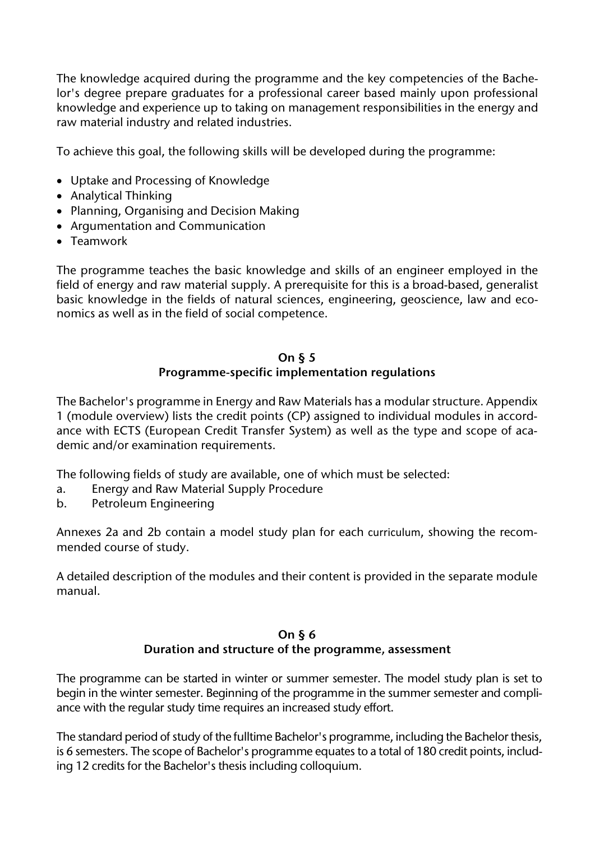The knowledge acquired during the programme and the key competencies of the Bachelor's degree prepare graduates for a professional career based mainly upon professional knowledge and experience up to taking on management responsibilities in the energy and raw material industry and related industries.

To achieve this goal, the following skills will be developed during the programme:

- Uptake and Processing of Knowledge
- Analytical Thinking
- Planning, Organising and Decision Making
- Argumentation and Communication
- Teamwork

The programme teaches the basic knowledge and skills of an engineer employed in the field of energy and raw material supply. A prerequisite for this is a broad-based, generalist basic knowledge in the fields of natural sciences, engineering, geoscience, law and economics as well as in the field of social competence.

### **On § 5 Programme-specific implementation regulations**

The Bachelor's programme in Energy and Raw Materials has a modular structure. Appendix 1 (module overview) lists the credit points (CP) assigned to individual modules in accordance with ECTS (European Credit Transfer System) as well as the type and scope of academic and/or examination requirements.

The following fields of study are available, one of which must be selected:

- a. Energy and Raw Material Supply Procedure
- b. Petroleum Engineering

Annexes 2a and 2b contain a model study plan for each curriculum, showing the recommended course of study.

A detailed description of the modules and their content is provided in the separate module manual.

#### **On § 6 Duration and structure of the programme, assessment**

The programme can be started in winter or summer semester. The model study plan is set to begin in the winter semester. Beginning of the programme in the summer semester and compliance with the regular study time requires an increased study effort.

The standard period of study of the fulltime Bachelor's programme, including the Bachelor thesis, is 6 semesters. The scope of Bachelor's programme equates to a total of 180 credit points, including 12 credits for the Bachelor's thesis including colloquium.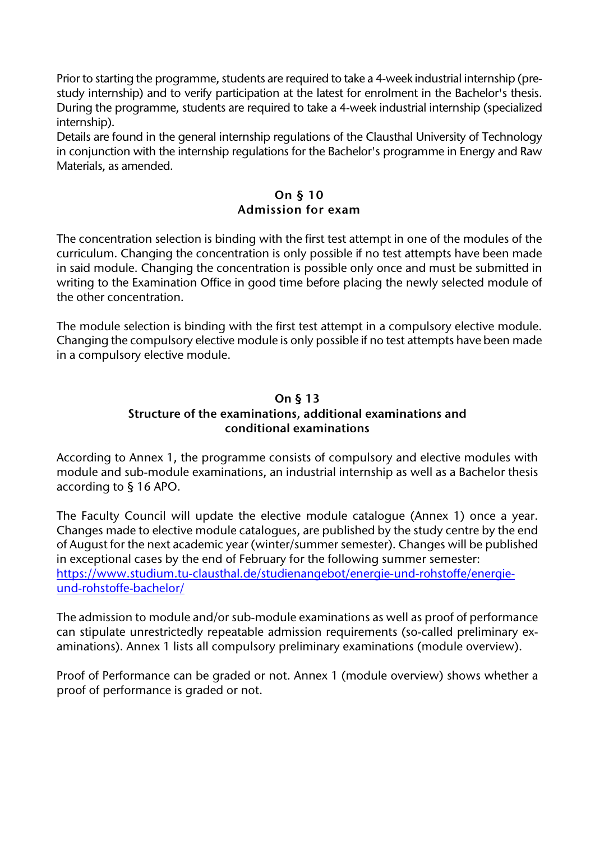Prior to starting the programme, students are required to take a 4-week industrial internship (prestudy internship) and to verify participation at the latest for enrolment in the Bachelor's thesis. During the programme, students are required to take a 4-week industrial internship (specialized internship).

Details are found in the general internship regulations of the Clausthal University of Technology in conjunction with the internship regulations for the Bachelor's programme in Energy and Raw Materials, as amended.

## **On § 10 Admission for exam**

The concentration selection is binding with the first test attempt in one of the modules of the curriculum. Changing the concentration is only possible if no test attempts have been made in said module. Changing the concentration is possible only once and must be submitted in writing to the Examination Office in good time before placing the newly selected module of the other concentration.

The module selection is binding with the first test attempt in a compulsory elective module. Changing the compulsory elective module is only possible if no test attempts have been made in a compulsory elective module.

#### **On § 13 Structure of the examinations, additional examinations and conditional examinations**

According to Annex 1, the programme consists of compulsory and elective modules with module and sub-module examinations, an industrial internship as well as a Bachelor thesis according to § 16 APO.

The Faculty Council will update the elective module catalogue (Annex 1) once a year. Changes made to elective module catalogues, are published by the study centre by the end of August for the next academic year (winter/summer semester). Changes will be published in exceptional cases by the end of February for the following summer semester: [https://www.studium.tu-clausthal.de/studienangebot/energie-und-rohstoffe/energie](https://www.studium.tu-clausthal.de/studienangebot/energie-und-rohstoffe/energie-und-rohstoffe-bachelor/)[und-rohstoffe-bachelor/](https://www.studium.tu-clausthal.de/studienangebot/energie-und-rohstoffe/energie-und-rohstoffe-bachelor/)

The admission to module and/or sub-module examinations as well as proof of performance can stipulate unrestrictedly repeatable admission requirements (so-called preliminary examinations). Annex 1 lists all compulsory preliminary examinations (module overview).

Proof of Performance can be graded or not. Annex 1 (module overview) shows whether a proof of performance is graded or not.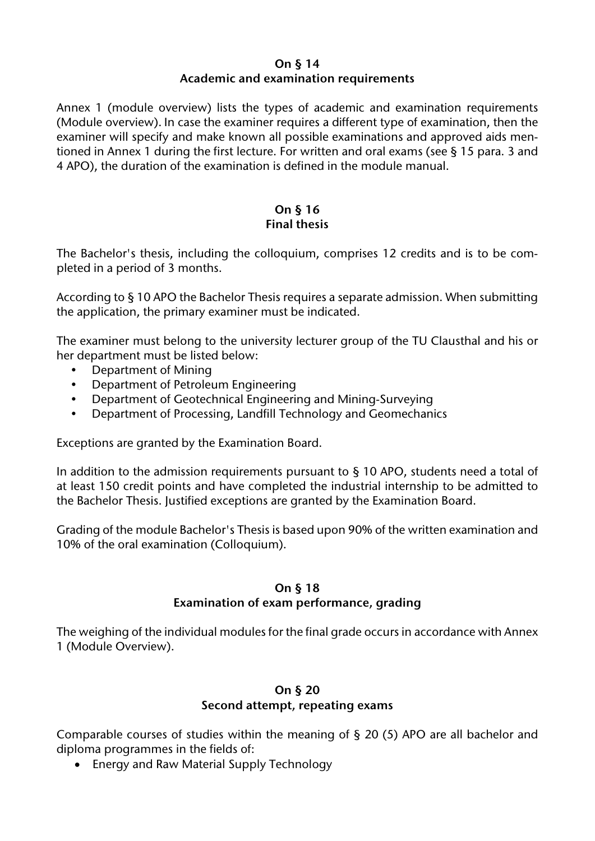#### **On § 14 Academic and examination requirements**

Annex 1 (module overview) lists the types of academic and examination requirements (Module overview). In case the examiner requires a different type of examination, then the examiner will specify and make known all possible examinations and approved aids mentioned in Annex 1 during the first lecture. For written and oral exams (see § 15 para. 3 and 4 APO), the duration of the examination is defined in the module manual.

#### **On § 16 Final thesis**

The Bachelor's thesis, including the colloquium, comprises 12 credits and is to be completed in a period of 3 months.

According to § 10 APO the Bachelor Thesis requires a separate admission. When submitting the application, the primary examiner must be indicated.

The examiner must belong to the university lecturer group of the TU Clausthal and his or her department must be listed below:

- Department of Mining
- Department of Petroleum Engineering
- Department of Geotechnical Engineering and Mining-Surveying
- Department of Processing, Landfill Technology and Geomechanics

Exceptions are granted by the Examination Board.

In addition to the admission requirements pursuant to § 10 APO, students need a total of at least 150 credit points and have completed the industrial internship to be admitted to the Bachelor Thesis. Justified exceptions are granted by the Examination Board.

Grading of the module Bachelor's Thesis is based upon 90% of the written examination and 10% of the oral examination (Colloquium).

#### **On § 18**

#### **Examination of exam performance, grading**

The weighing of the individual modules for the final grade occurs in accordance with Annex 1 (Module Overview).

## **On § 20 Second attempt, repeating exams**

Comparable courses of studies within the meaning of § 20 (5) APO are all bachelor and diploma programmes in the fields of:

• Energy and Raw Material Supply Technology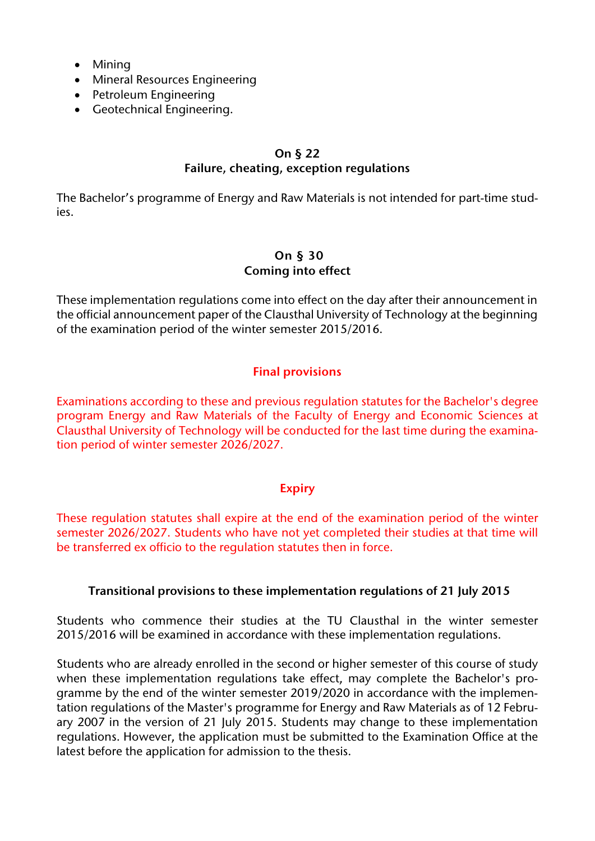- Mining
- Mineral Resources Engineering
- Petroleum Engineering
- Geotechnical Engineering.

#### **On § 22 Failure, cheating, exception regulations**

The Bachelor's programme of Energy and Raw Materials is not intended for part-time studies.

#### **On § 30 Coming into effect**

These implementation regulations come into effect on the day after their announcement in the official announcement paper of the Clausthal University of Technology at the beginning of the examination period of the winter semester 2015/2016.

## **Final provisions**

Examinations according to these and previous regulation statutes for the Bachelor's degree program Energy and Raw Materials of the Faculty of Energy and Economic Sciences at Clausthal University of Technology will be conducted for the last time during the examination period of winter semester 2026/2027.

#### **Expiry**

These regulation statutes shall expire at the end of the examination period of the winter semester 2026/2027. Students who have not yet completed their studies at that time will be transferred ex officio to the regulation statutes then in force.

#### **Transitional provisions to these implementation regulations of 21 July 2015**

Students who commence their studies at the TU Clausthal in the winter semester 2015/2016 will be examined in accordance with these implementation regulations.

Students who are already enrolled in the second or higher semester of this course of study when these implementation regulations take effect, may complete the Bachelor's programme by the end of the winter semester 2019/2020 in accordance with the implementation regulations of the Master's programme for Energy and Raw Materials as of 12 February 2007 in the version of 21 July 2015. Students may change to these implementation regulations. However, the application must be submitted to the Examination Office at the latest before the application for admission to the thesis.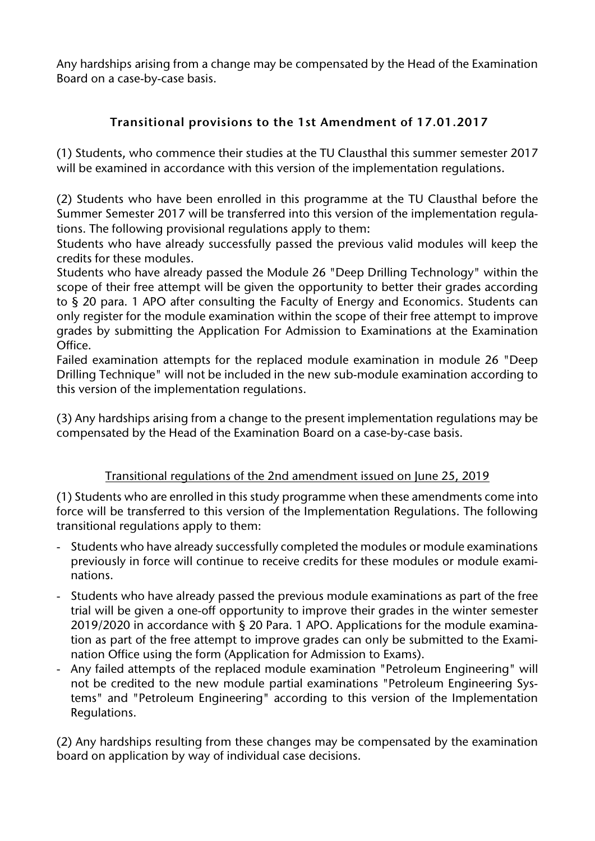Any hardships arising from a change may be compensated by the Head of the Examination Board on a case-by-case basis.

## **Transitional provisions to the 1st Amendment of 17.01.2017**

(1) Students, who commence their studies at the TU Clausthal this summer semester 2017 will be examined in accordance with this version of the implementation regulations.

(2) Students who have been enrolled in this programme at the TU Clausthal before the Summer Semester 2017 will be transferred into this version of the implementation regulations. The following provisional regulations apply to them:

Students who have already successfully passed the previous valid modules will keep the credits for these modules.

Students who have already passed the Module 26 "Deep Drilling Technology" within the scope of their free attempt will be given the opportunity to better their grades according to § 20 para. 1 APO after consulting the Faculty of Energy and Economics. Students can only register for the module examination within the scope of their free attempt to improve grades by submitting the Application For Admission to Examinations at the Examination Office.

Failed examination attempts for the replaced module examination in module 26 "Deep Drilling Technique" will not be included in the new sub-module examination according to this version of the implementation regulations.

(3) Any hardships arising from a change to the present implementation regulations may be compensated by the Head of the Examination Board on a case-by-case basis.

## Transitional regulations of the 2nd amendment issued on June 25, 2019

(1) Students who are enrolled in this study programme when these amendments come into force will be transferred to this version of the Implementation Regulations. The following transitional regulations apply to them:

- Students who have already successfully completed the modules or module examinations previously in force will continue to receive credits for these modules or module examinations.
- Students who have already passed the previous module examinations as part of the free trial will be given a one-off opportunity to improve their grades in the winter semester 2019/2020 in accordance with § 20 Para. 1 APO. Applications for the module examination as part of the free attempt to improve grades can only be submitted to the Examination Office using the form (Application for Admission to Exams).
- Any failed attempts of the replaced module examination "Petroleum Engineering" will not be credited to the new module partial examinations "Petroleum Engineering Systems" and "Petroleum Engineering" according to this version of the Implementation Regulations.

(2) Any hardships resulting from these changes may be compensated by the examination board on application by way of individual case decisions.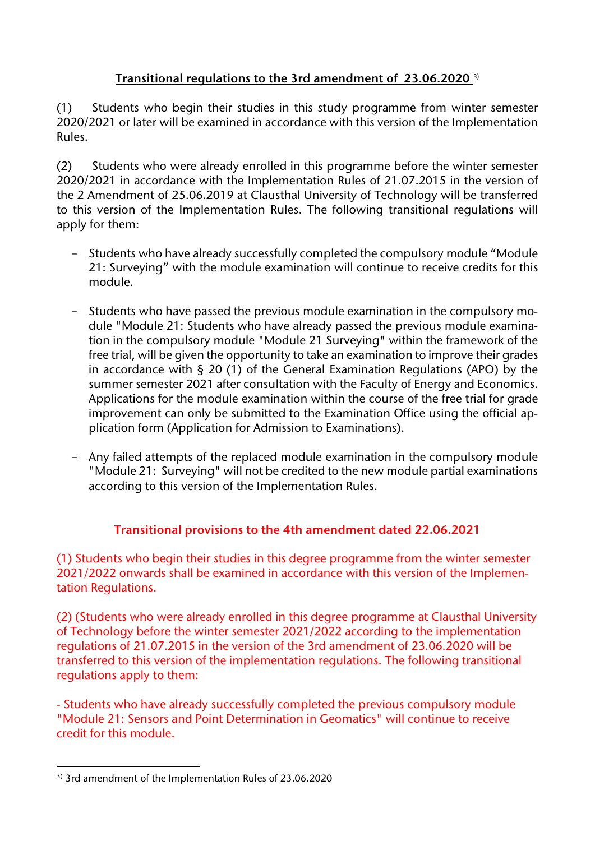## **Transitional regulations to the 3rd amendment of 23.06.2020** [3\)](#page-6-0)

(1) Students who begin their studies in this study programme from winter semester 2020/2021 or later will be examined in accordance with this version of the Implementation Rules.

(2) Students who were already enrolled in this programme before the winter semester 2020/2021 in accordance with the Implementation Rules of 21.07.2015 in the version of the 2 Amendment of 25.06.2019 at Clausthal University of Technology will be transferred to this version of the Implementation Rules. The following transitional regulations will apply for them:

- Students who have already successfully completed the compulsory module "Module 21: Surveying" with the module examination will continue to receive credits for this module.
- Students who have passed the previous module examination in the compulsory module "Module 21: Students who have already passed the previous module examination in the compulsory module "Module 21 Surveying" within the framework of the free trial, will be given the opportunity to take an examination to improve their grades in accordance with § 20 (1) of the General Examination Regulations (APO) by the summer semester 2021 after consultation with the Faculty of Energy and Economics. Applications for the module examination within the course of the free trial for grade improvement can only be submitted to the Examination Office using the official application form (Application for Admission to Examinations).
- Any failed attempts of the replaced module examination in the compulsory module "Module 21: Surveying" will not be credited to the new module partial examinations according to this version of the Implementation Rules.

## **Transitional provisions to the 4th amendment dated 22.06.2021**

(1) Students who begin their studies in this degree programme from the winter semester 2021/2022 onwards shall be examined in accordance with this version of the Implementation Regulations.

(2) (Students who were already enrolled in this degree programme at Clausthal University of Technology before the winter semester 2021/2022 according to the implementation regulations of 21.07.2015 in the version of the 3rd amendment of 23.06.2020 will be transferred to this version of the implementation regulations. The following transitional regulations apply to them:

- Students who have already successfully completed the previous compulsory module "Module 21: Sensors and Point Determination in Geomatics" will continue to receive credit for this module.

<span id="page-6-0"></span><sup>&</sup>lt;u>.</u> 3) 3rd amendment of the Implementation Rules of 23.06.2020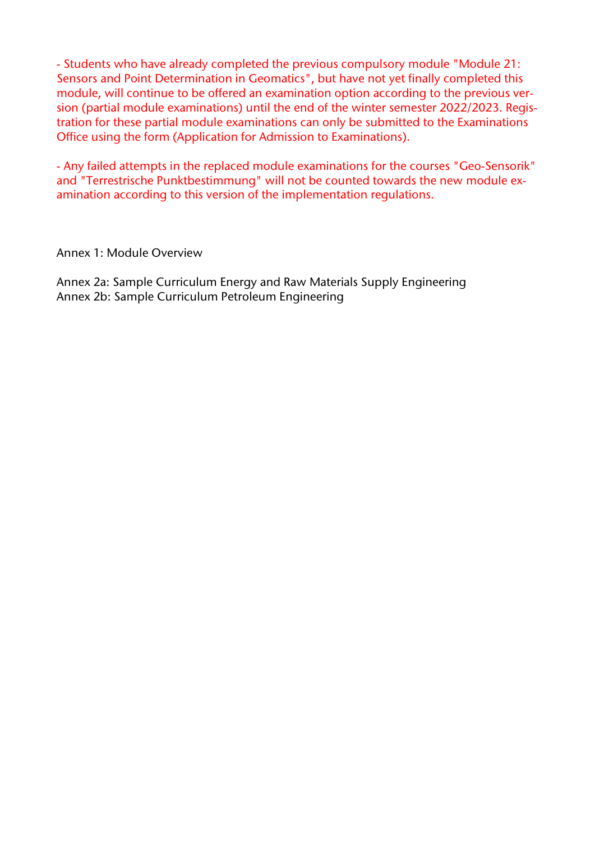- Students who have already completed the previous compulsory module "Module 21: Sensors and Point Determination in Geomatics", but have not yet finally completed this module, will continue to be offered an examination option according to the previous version (partial module examinations) until the end of the winter semester 2022/2023. Registration for these partial module examinations can only be submitted to the Examinations Office using the form (Application for Admission to Examinations).

- Any failed attempts in the replaced module examinations for the courses "Geo-Sensorik" and "Terrestrische Punktbestimmung" will not be counted towards the new module examination according to this version of the implementation regulations.

#### Annex 1: Module Overview

Annex 2a: Sample Curriculum Energy and Raw Materials Supply Engineering Annex 2b: Sample Curriculum Petroleum Engineering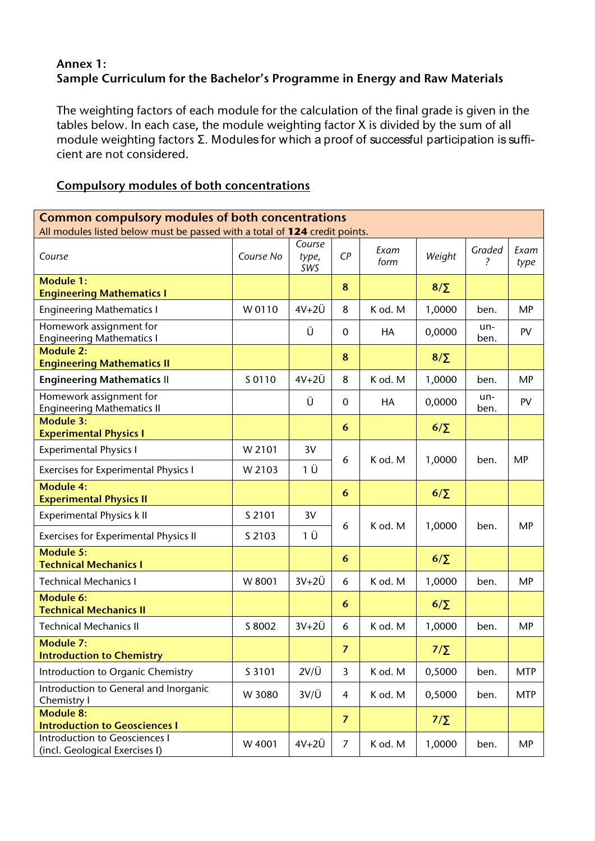## **Annex 1: Sample Curriculum for the Bachelor's Programme in Energy and Raw Materials**

The weighting factors of each module for the calculation of the final grade is given in the tables below. In each case, the module weighting factor X is divided by the sum of all module weighting factors Σ. Modules for which a proof of successful participation is sufficient are not considered.

# **Common compulsory modules of both concentrations** All modules listed below must be passed with a total of **124** credit points.  $\mathbf{I}$ *Course CP Exam type, SWS*

### **Compulsory modules of both concentrations**

| Course                                                                 | Course No | type,<br>SWS  | CP             | Exam<br>form | Weight     | Graded<br>? | Exam<br>type |
|------------------------------------------------------------------------|-----------|---------------|----------------|--------------|------------|-------------|--------------|
| <b>Module 1:</b><br><b>Engineering Mathematics I</b>                   |           |               | 8              |              | $8/\Sigma$ |             |              |
| <b>Engineering Mathematics I</b>                                       | W 0110    | $4V+2U$       | 8              | K od. M      | 1,0000     | ben.        | <b>MP</b>    |
| Homework assignment for<br><b>Engineering Mathematics I</b>            |           | Ü             | $\Omega$       | <b>HA</b>    | 0,0000     | un-<br>ben. | PV           |
| <b>Module 2:</b><br><b>Engineering Mathematics II</b>                  |           |               | 8              |              | $8/\Sigma$ |             |              |
| <b>Engineering Mathematics II</b>                                      | S 0110    | $4V+2U$       | 8              | K od. M      | 1,0000     | ben.        | <b>MP</b>    |
| Homework assignment for<br><b>Engineering Mathematics II</b>           |           | Ü             | $\Omega$       | HA           | 0,0000     | un-<br>ben. | PV           |
| <b>Module 3:</b><br><b>Experimental Physics I</b>                      |           |               | 6              |              | $6/\Sigma$ |             |              |
| <b>Experimental Physics I</b>                                          | W 2101    | 3V            | 6              | K od. M      |            |             | <b>MP</b>    |
| <b>Exercises for Experimental Physics I</b>                            | W 2103    | 1 Ü           |                |              | 1,0000     | ben.        |              |
| Module 4:<br><b>Experimental Physics II</b>                            |           |               | 6              |              | $6/\Sigma$ |             |              |
| <b>Experimental Physics k II</b>                                       | S 2101    | 3V            |                |              |            |             |              |
| <b>Exercises for Experimental Physics II</b>                           | S 2103    | 1 Ü           | 6              | K od. M      | 1,0000     | ben.        | <b>MP</b>    |
| Module 5:<br><b>Technical Mechanics I</b>                              |           |               | 6              |              | $6/\Sigma$ |             |              |
| <b>Technical Mechanics I</b>                                           | W 8001    | $3V+2U$       | 6              | K od. M      | 1,0000     | ben.        | <b>MP</b>    |
| Module 6:<br><b>Technical Mechanics II</b>                             |           |               | 6              |              | $6/\Sigma$ |             |              |
| <b>Technical Mechanics II</b>                                          | S 8002    | $3V+2U$       | 6              | K od. M      | 1,0000     | ben.        | <b>MP</b>    |
| <b>Module 7:</b><br><b>Introduction to Chemistry</b>                   |           |               | $\overline{7}$ |              | $7/\Sigma$ |             |              |
| Introduction to Organic Chemistry                                      | S 3101    | $2V/\ddot{U}$ | $\overline{3}$ | K od. M      | 0,5000     | ben.        | <b>MTP</b>   |
| Introduction to General and Inorganic<br>Chemistry I                   | W 3080    | $3V/\ddot{U}$ | 4              | K od. M      | 0,5000     | ben.        | <b>MTP</b>   |
| Module 8:<br><b>Introduction to Geosciences I</b>                      |           |               | $\overline{7}$ |              | $7/\Sigma$ |             |              |
| <b>Introduction to Geosciences I</b><br>(incl. Geological Exercises I) | W 4001    | $4V+2U$       | $\overline{7}$ | K od. M      | 1,0000     | ben.        | MP           |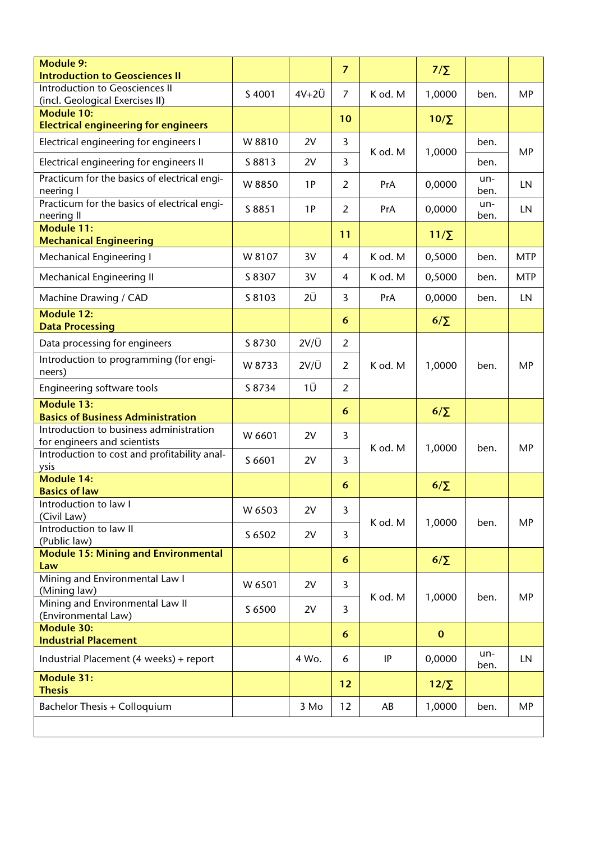| <b>Module 9:</b><br><b>Introduction to Geosciences II</b>               |        |               | $\overline{7}$ |         | $7/\Sigma$  |             |            |
|-------------------------------------------------------------------------|--------|---------------|----------------|---------|-------------|-------------|------------|
| Introduction to Geosciences II<br>(incl. Geological Exercises II)       | S 4001 | $4V+2U$       | $\overline{7}$ | K od. M | 1,0000      | ben.        | MP         |
| <b>Module 10:</b><br><b>Electrical engineering for engineers</b>        |        |               | 10             |         | $10/\Sigma$ |             |            |
| Electrical engineering for engineers I                                  | W 8810 | 2V            | 3              | K od. M | 1,0000      | ben.        | MP         |
| Electrical engineering for engineers II                                 | S 8813 | 2V            | 3              |         |             | ben.        |            |
| Practicum for the basics of electrical engi-<br>neering I               | W 8850 | 1P            | $\overline{2}$ | PrA     | 0,0000      | un-<br>ben. | LN         |
| Practicum for the basics of electrical engi-<br>neering II              | S 8851 | 1P            | $\overline{2}$ | PrA     | 0,0000      | un-<br>ben. | LN         |
| <b>Module 11:</b><br><b>Mechanical Engineering</b>                      |        |               | 11             |         | $11/\Sigma$ |             |            |
| <b>Mechanical Engineering I</b>                                         | W 8107 | 3V            | $\overline{4}$ | K od. M | 0,5000      | ben.        | <b>MTP</b> |
| Mechanical Engineering II                                               | S 8307 | 3V            | 4              | K od. M | 0,5000      | ben.        | <b>MTP</b> |
| Machine Drawing / CAD                                                   | S 8103 | 2Ü            | 3              | PrA     | 0,0000      | ben.        | LN         |
| <b>Module 12:</b><br><b>Data Processing</b>                             |        |               | 6              |         | $6/\Sigma$  |             |            |
| Data processing for engineers                                           | S 8730 | $2V/\ddot{U}$ | $\overline{2}$ |         |             |             |            |
| Introduction to programming (for engi-<br>neers)                        | W 8733 | $2V/\ddot{U}$ | $\overline{2}$ | K od. M | 1,0000      | ben.        | <b>MP</b>  |
| Engineering software tools                                              | S 8734 | 1Ü            | $\overline{2}$ |         |             |             |            |
| <b>Module 13:</b><br><b>Basics of Business Administration</b>           |        |               | 6              |         | $6/\Sigma$  |             |            |
| Introduction to business administration<br>for engineers and scientists | W 6601 | 2V            | 3              | K od. M |             | ben.        | MP         |
| Introduction to cost and profitability anal-<br>ysis                    | S 6601 | 2V            | $\overline{3}$ |         | 1,0000      |             |            |
| <b>Module 14:</b><br><b>Basics of law</b>                               |        |               | 6              |         | $6/\Sigma$  |             |            |
| Introduction to law I<br>(Civil Law)                                    | W 6503 | 2V            | 3              |         |             |             |            |
| Introduction to law II<br>(Public law)                                  | S 6502 | 2V            | 3              | K od. M | 1,0000      | ben.        | <b>MP</b>  |
| <b>Module 15: Mining and Environmental</b>                              |        |               | 6              |         | $6/\Sigma$  |             |            |
| Law<br>Mining and Environmental Law I                                   | W 6501 | 2V            | 3              |         |             |             |            |
| (Mining law)<br>Mining and Environmental Law II<br>(Environmental Law)  | S 6500 | 2V            | 3              | K od. M | 1,0000      | ben.        | <b>MP</b>  |
| <b>Module 30:</b><br><b>Industrial Placement</b>                        |        |               | 6              |         | $\mathbf 0$ |             |            |
| Industrial Placement (4 weeks) + report                                 |        | 4 Wo.         | 6              | IP      | 0,0000      | un-<br>ben. | LN         |
| <b>Module 31:</b><br><b>Thesis</b>                                      |        |               | 12             |         | $12/\Sigma$ |             |            |
| Bachelor Thesis + Colloquium                                            |        | 3 Mo          | 12             | AB      | 1,0000      | ben.        | MP         |
|                                                                         |        |               |                |         |             |             |            |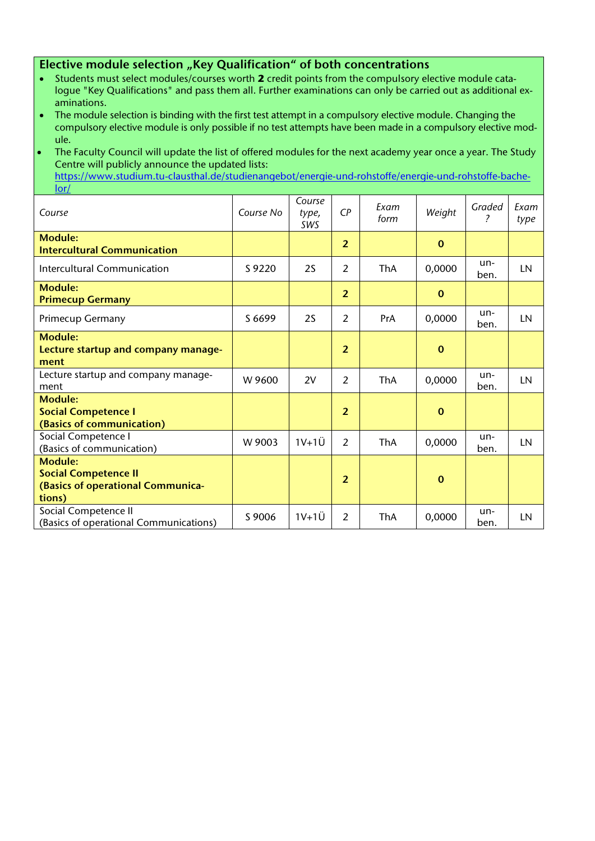#### **Elective module selection "Key Qualification" of both concentrations**

- Students must select modules/courses worth **2** credit points from the compulsory elective module catalogue "Key Qualifications" and pass them all. Further examinations can only be carried out as additional examinations.
- The module selection is binding with the first test attempt in a compulsory elective module. Changing the compulsory elective module is only possible if no test attempts have been made in a compulsory elective module.
- The Faculty Council will update the list of offered modules for the next academy year once a year. The Study Centre will publicly announce the updated lists:

[https://www.studium.tu-clausthal.de/studienangebot/energie-und-rohstoffe/energie-und-rohstoffe-bache](https://www.studium.tu-clausthal.de/studienangebot/energie-und-rohstoffe/energie-und-rohstoffe-bachelor/)[lor/](https://www.studium.tu-clausthal.de/studienangebot/energie-und-rohstoffe/energie-und-rohstoffe-bachelor/)

| Course                                                                                       | Course No | Course<br>type,<br>SWS | $\mathsf{C}P$  | Exam<br>form | Weight       | Graded<br>?   | Exam<br>type |
|----------------------------------------------------------------------------------------------|-----------|------------------------|----------------|--------------|--------------|---------------|--------------|
| Module:<br><b>Intercultural Communication</b>                                                |           |                        | $\overline{2}$ |              | $\mathbf{0}$ |               |              |
| Intercultural Communication                                                                  | S 9220    | 2S                     | 2              | <b>ThA</b>   | 0,0000       | $un-$<br>ben. | LN           |
| <b>Module:</b><br><b>Primecup Germany</b>                                                    |           |                        | $\overline{2}$ |              | $\mathbf 0$  |               |              |
| <b>Primecup Germany</b>                                                                      | S 6699    | 2S                     | $\mathcal{P}$  | PrA          | 0,0000       | $un-$<br>ben. | <b>LN</b>    |
| <b>Module:</b><br>Lecture startup and company manage-<br>ment                                |           |                        | $\overline{2}$ |              | $\bf{0}$     |               |              |
| Lecture startup and company manage-<br>ment                                                  | W 9600    | 2V                     | 2              | <b>ThA</b>   | 0,0000       | $un-$<br>ben. | LN           |
| <b>Module:</b><br><b>Social Competence I</b><br>(Basics of communication)                    |           |                        | $\overline{2}$ |              | $\mathbf 0$  |               |              |
| Social Competence I<br>(Basics of communication)                                             | W 9003    | $1V+1U$                | 2              | ThA          | 0,0000       | un-<br>ben.   | LN           |
| <b>Module:</b><br><b>Social Competence II</b><br>(Basics of operational Communica-<br>tions) |           |                        | $\overline{2}$ |              | $\bf{0}$     |               |              |
| Social Competence II<br>(Basics of operational Communications)                               | S 9006    | $1V+1U$                | 2              | <b>ThA</b>   | 0,0000       | un-<br>ben.   | LN           |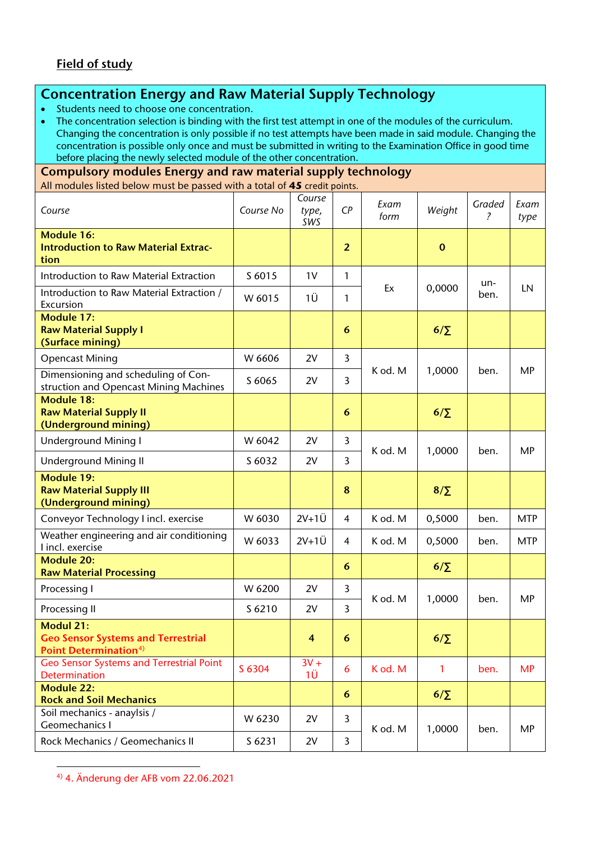## **Concentration Energy and Raw Material Supply Technology**

• Students need to choose one concentration.

• The concentration selection is binding with the first test attempt in one of the modules of the curriculum. Changing the concentration is only possible if no test attempts have been made in said module. Changing the concentration is possible only once and must be submitted in writing to the Examination Office in good time before placing the newly selected module of the other concentration.

**Compulsory modules Energy and raw material supply technology** All modules listed below must be passed with a total of **45** credit points.

| Course                                                                                             | Course No | Course<br>type,<br>SWS | CP             | Exam<br>form | Weight      | Graded<br>2 | Exam<br>type |
|----------------------------------------------------------------------------------------------------|-----------|------------------------|----------------|--------------|-------------|-------------|--------------|
| <b>Module 16:</b><br><b>Introduction to Raw Material Extrac-</b><br>tion                           |           |                        | $\overline{2}$ |              | $\mathbf 0$ |             |              |
| Introduction to Raw Material Extraction                                                            | S 6015    | 1 <sub>V</sub>         | 1              |              |             | un-         |              |
| Introduction to Raw Material Extraction /<br>Excursion                                             | W 6015    | 1Ü                     | 1              | Ex           | 0,0000      | ben.        | LN           |
| <b>Module 17:</b><br><b>Raw Material Supply I</b><br>(Surface mining)                              |           |                        | 6              |              | $6/\Sigma$  |             |              |
| <b>Opencast Mining</b>                                                                             | W 6606    | 2V                     | 3              |              |             |             |              |
| Dimensioning and scheduling of Con-<br>struction and Opencast Mining Machines                      | S 6065    | 2V                     | $\overline{3}$ | K od. M      | 1,0000      | ben.        | MP           |
| <b>Module 18:</b><br><b>Raw Material Supply II</b><br>(Underground mining)                         |           |                        | 6              |              | $6/\Sigma$  |             |              |
| Underground Mining I                                                                               | W 6042    | 2V                     | 3              |              | 1,0000      |             |              |
| <b>Underground Mining II</b>                                                                       | S 6032    | 2V                     | $\overline{3}$ | K od. M      |             | ben.        | MP           |
| <b>Module 19:</b><br><b>Raw Material Supply III</b><br>(Underground mining)                        |           |                        | 8              |              | $8/\Sigma$  |             |              |
| Conveyor Technology I incl. exercise                                                               | W 6030    | $2V+1U$                | $\overline{4}$ | K od. M      | 0,5000      | ben.        | <b>MTP</b>   |
| Weather engineering and air conditioning<br>I incl. exercise                                       | W 6033    | $2V+1U$                | $\overline{4}$ | K od. M      | 0,5000      | ben.        | <b>MTP</b>   |
| <b>Module 20:</b><br><b>Raw Material Processing</b>                                                |           |                        | 6              |              | $6/\Sigma$  |             |              |
| Processing I                                                                                       | W 6200    | 2V                     | 3              |              |             |             |              |
| Processing II                                                                                      | S 6210    | 2V                     | 3              | K od. M      | 1,0000      | ben.        | MP           |
| <b>Modul 21:</b><br><b>Geo Sensor Systems and Terrestrial</b><br>Point Determination <sup>4)</sup> |           | 4                      | 6              |              | $6/\Sigma$  |             |              |
| Geo Sensor Systems and Terrestrial Point<br><b>Determination</b>                                   | S 6304    | $3V +$<br>1Ü           | 6              | K od. M      | 1           | ben.        | <b>MP</b>    |
| <b>Module 22:</b><br><b>Rock and Soil Mechanics</b>                                                |           |                        | 6              |              | $6/\Sigma$  |             |              |
| Soil mechanics - anaylsis /<br>Geomechanics I                                                      | W 6230    | 2V                     | $\overline{3}$ | K od. M      | 1,0000      | ben.        | <b>MP</b>    |
| Rock Mechanics / Geomechanics II                                                                   | S 6231    | 2V                     | 3              |              |             |             |              |

<span id="page-11-0"></span><u>.</u> 4) 4. Änderung der AFB vom 22.06.2021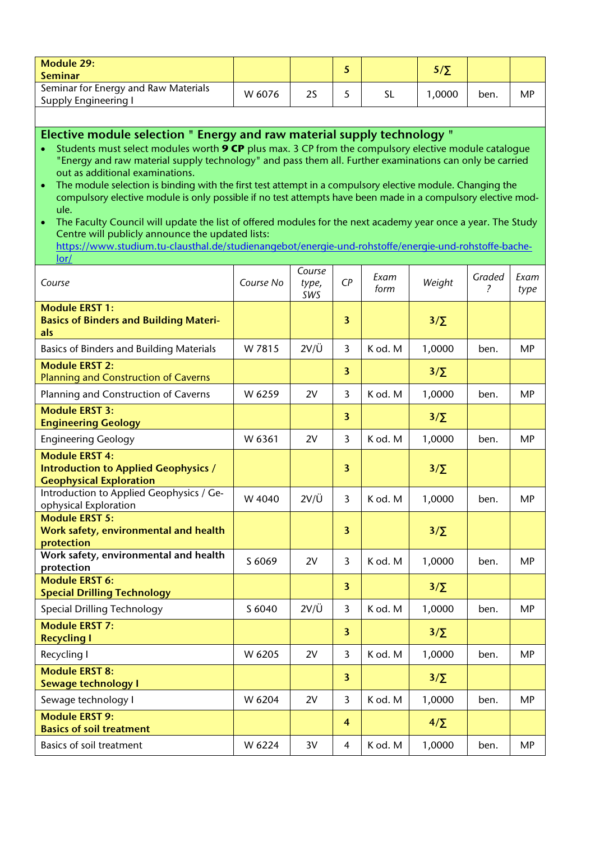| Module 29:<br><b>Seminar</b>                                 |        |    |  | 5 / T |      |    |
|--------------------------------------------------------------|--------|----|--|-------|------|----|
| Seminar for Energy and Raw Materials<br>Supply Engineering I | W 6076 | 2S |  | .0000 | ben. | МP |

#### **Elective module selection " Energy and raw material supply technology "**

- Students must select modules worth **9 CP** plus max. 3 CP from the compulsory elective module catalogue "Energy and raw material supply technology" and pass them all. Further examinations can only be carried out as additional examinations.
- The module selection is binding with the first test attempt in a compulsory elective module. Changing the compulsory elective module is only possible if no test attempts have been made in a compulsory elective module.

• The Faculty Council will update the list of offered modules for the next academy year once a year. The Study Centre will publicly announce the updated lists:

[https://www.studium.tu-clausthal.de/studienangebot/energie-und-rohstoffe/energie-und-rohstoffe-bache](https://www.studium.tu-clausthal.de/studienangebot/energie-und-rohstoffe/energie-und-rohstoffe-bachelor/)[lor/](https://www.studium.tu-clausthal.de/studienangebot/energie-und-rohstoffe/energie-und-rohstoffe-bachelor/)

| Course                                                                                                 | Course No | Course<br>type,<br>SWS | CP                      | Exam<br>form | Weight     | Graded<br>$\mathcal{P}$ | Exam<br>type |
|--------------------------------------------------------------------------------------------------------|-----------|------------------------|-------------------------|--------------|------------|-------------------------|--------------|
| <b>Module ERST 1:</b><br><b>Basics of Binders and Building Materi-</b><br>als                          |           |                        | $\overline{\mathbf{3}}$ |              | $3/\Sigma$ |                         |              |
| <b>Basics of Binders and Building Materials</b>                                                        | W 7815    | $2V/\ddot{U}$          | 3                       | K od. M      | 1,0000     | ben.                    | MP           |
| <b>Module ERST 2:</b><br><b>Planning and Construction of Caverns</b>                                   |           |                        | $\overline{\mathbf{3}}$ |              | $3/\Sigma$ |                         |              |
| Planning and Construction of Caverns                                                                   | W 6259    | 2V                     | 3                       | K od. M      | 1,0000     | ben.                    | <b>MP</b>    |
| <b>Module ERST 3:</b><br><b>Engineering Geology</b>                                                    |           |                        | $\overline{3}$          |              | $3/\Sigma$ |                         |              |
| <b>Engineering Geology</b>                                                                             | W 6361    | 2V                     | $\overline{3}$          | K od. M      | 1,0000     | ben.                    | MP           |
| <b>Module ERST 4:</b><br><b>Introduction to Applied Geophysics /</b><br><b>Geophysical Exploration</b> |           |                        | $\overline{\mathbf{3}}$ |              | $3/\Sigma$ |                         |              |
| Introduction to Applied Geophysics / Ge-<br>ophysical Exploration                                      | W 4040    | $2V/\ddot{U}$          | 3                       | K od. M      | 1,0000     | ben.                    | <b>MP</b>    |
| <b>Module ERST 5:</b><br>Work safety, environmental and health<br>protection                           |           |                        | $\overline{\mathbf{3}}$ |              | $3/\Sigma$ |                         |              |
| Work safety, environmental and health<br>protection                                                    | S 6069    | 2V                     | $\overline{3}$          | K od. M      | 1,0000     | ben.                    | <b>MP</b>    |
| <b>Module ERST 6:</b><br><b>Special Drilling Technology</b>                                            |           |                        | $\overline{\mathbf{3}}$ |              | $3/\Sigma$ |                         |              |
| <b>Special Drilling Technology</b>                                                                     | S 6040    | $2V/\ddot{U}$          | 3                       | K od. M      | 1,0000     | ben.                    | MP           |
| <b>Module ERST 7:</b><br><b>Recycling I</b>                                                            |           |                        | $\overline{\mathbf{3}}$ |              | $3/\Sigma$ |                         |              |
| Recycling I                                                                                            | W 6205    | 2V                     | $\overline{3}$          | K od. M      | 1,0000     | ben.                    | <b>MP</b>    |
| <b>Module ERST 8:</b><br>Sewage technology I                                                           |           |                        | $\overline{\mathbf{3}}$ |              | $3/\Sigma$ |                         |              |
| Sewage technology I                                                                                    | W 6204    | 2V                     | $\overline{3}$          | K od. M      | 1,0000     | ben.                    | <b>MP</b>    |
| <b>Module ERST 9:</b><br><b>Basics of soil treatment</b>                                               |           |                        | $\overline{\mathbf{4}}$ |              | $4/\Sigma$ |                         |              |
| Basics of soil treatment                                                                               | W 6224    | 3V                     | 4                       | K od. M      | 1,0000     | ben.                    | <b>MP</b>    |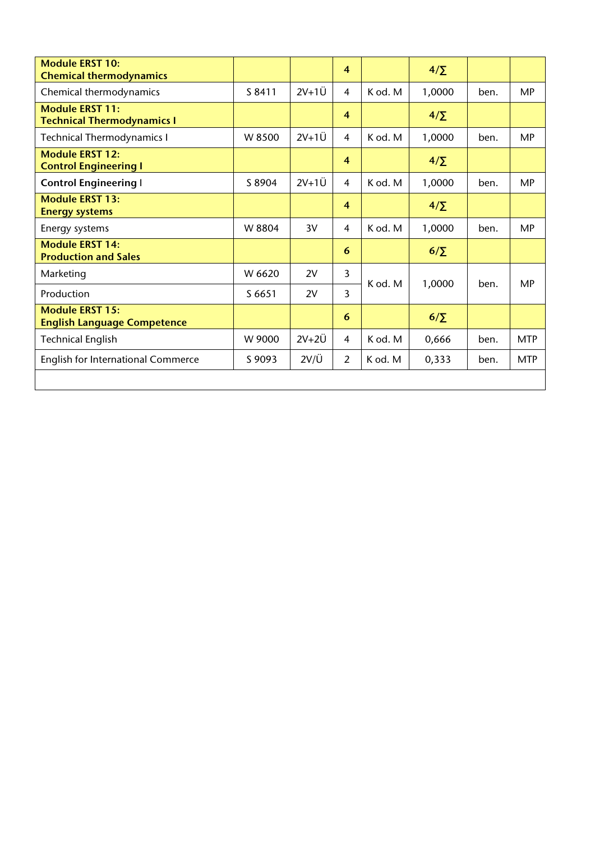| <b>Module ERST 10:</b><br><b>Chemical thermodynamics</b>     |        |               | $\overline{4}$ |         | $4/\Sigma$ |      |            |
|--------------------------------------------------------------|--------|---------------|----------------|---------|------------|------|------------|
| Chemical thermodynamics                                      | S 8411 | $2V+1U$       | $\overline{4}$ | K od. M | 1,0000     | ben. | <b>MP</b>  |
| <b>Module ERST 11:</b><br><b>Technical Thermodynamics I</b>  |        |               | $\overline{4}$ |         | $4/\Sigma$ |      |            |
| <b>Technical Thermodynamics I</b>                            | W 8500 | $2V+1U$       | $\overline{4}$ | K od. M | 1,0000     | ben. | <b>MP</b>  |
| <b>Module ERST 12:</b><br><b>Control Engineering I</b>       |        |               | $\overline{4}$ |         | $4/\Sigma$ |      |            |
| <b>Control Engineering I</b>                                 | S 8904 | $2V+1U$       | 4              | K od. M | 1,0000     | ben. | <b>MP</b>  |
| <b>Module ERST 13:</b><br><b>Energy systems</b>              |        |               | $\overline{4}$ |         | $4/\Sigma$ |      |            |
| Energy systems                                               | W 8804 | 3V            | 4              | K od. M | 1,0000     | ben. | <b>MP</b>  |
| <b>Module ERST 14:</b><br><b>Production and Sales</b>        |        |               | 6              |         | $6/\Sigma$ |      |            |
| Marketing                                                    | W 6620 | 2V            | 3              |         |            |      | <b>MP</b>  |
| Production                                                   | S 6651 | 2V            | 3              | K od. M | 1,0000     | ben. |            |
| <b>Module ERST 15:</b><br><b>English Language Competence</b> |        |               | 6              |         | $6/\Sigma$ |      |            |
| <b>Technical English</b>                                     | W 9000 | $2V+2U$       | $\overline{4}$ | K od. M | 0,666      | ben. | <b>MTP</b> |
| <b>English for International Commerce</b>                    | S 9093 | $2V/\ddot{U}$ | $\overline{2}$ | K od. M | 0,333      | ben. | <b>MTP</b> |
|                                                              |        |               |                |         |            |      |            |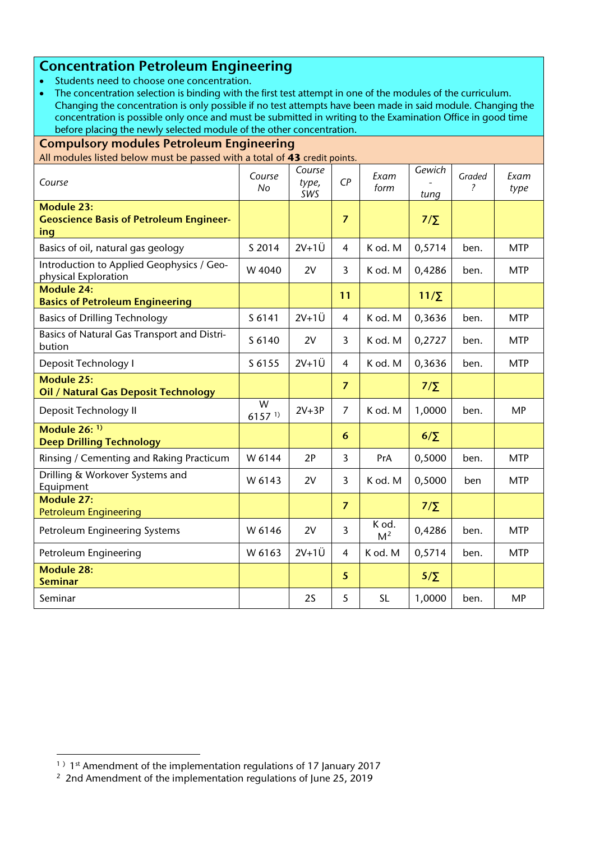## **Concentration Petroleum Engineering**

- Students need to choose one concentration.
- The concentration selection is binding with the first test attempt in one of the modules of the curriculum. Changing the concentration is only possible if no test attempts have been made in said module. Changing the concentration is possible only once and must be submitted in writing to the Examination Office in good time before placing the newly selected module of the other concentration.

| <b>Compulsory modules Petroleum Engineering</b>                            |                           |                        |                 |                         |                |                                    |              |  |  |
|----------------------------------------------------------------------------|---------------------------|------------------------|-----------------|-------------------------|----------------|------------------------------------|--------------|--|--|
| All modules listed below must be passed with a total of 43 credit points.  |                           |                        |                 |                         |                |                                    |              |  |  |
| Course                                                                     | Course<br>No              | Course<br>type,<br>SWS | $\mathsf{C}P$   | Exam<br>form            | Gewich<br>tung | Graded<br>$\overline{\phantom{a}}$ | Exam<br>type |  |  |
| <b>Module 23:</b><br><b>Geoscience Basis of Petroleum Engineer-</b><br>ing |                           |                        | $\overline{7}$  |                         | $7/\Sigma$     |                                    |              |  |  |
| Basics of oil, natural gas geology                                         | S 2014                    | $2V+1U$                | 4               | K od. M                 | 0,5714         | ben.                               | <b>MTP</b>   |  |  |
| Introduction to Applied Geophysics / Geo-<br>physical Exploration          | W 4040                    | 2V                     | $\overline{3}$  | K od. M                 | 0,4286         | ben.                               | <b>MTP</b>   |  |  |
| <b>Module 24:</b><br><b>Basics of Petroleum Engineering</b>                |                           |                        | 11              |                         | $11/\Sigma$    |                                    |              |  |  |
| <b>Basics of Drilling Technology</b>                                       | S 6141                    | $2V+1U$                | $\overline{4}$  | K od. M                 | 0,3636         | ben.                               | <b>MTP</b>   |  |  |
| Basics of Natural Gas Transport and Distri-<br>bution                      | S 6140                    | 2V                     | $\overline{3}$  | K od. M                 | 0,2727         | ben.                               | <b>MTP</b>   |  |  |
| Deposit Technology I                                                       | S 6155                    | $2V+1U$                | $\overline{4}$  | K od. M                 | 0,3636         | ben.                               | <b>MTP</b>   |  |  |
| Module 25:<br><b>Oil / Natural Gas Deposit Technology</b>                  |                           |                        | $\overline{7}$  |                         | $7/\Sigma$     |                                    |              |  |  |
| Deposit Technology II                                                      | W<br>$6157$ <sup>1)</sup> | $2V+3P$                | $\overline{7}$  | K od. M                 | 1,0000         | ben.                               | <b>MP</b>    |  |  |
| Module $26:$ <sup>1)</sup><br><b>Deep Drilling Technology</b>              |                           |                        | 6               |                         | $6/\Sigma$     |                                    |              |  |  |
| Rinsing / Cementing and Raking Practicum                                   | W 6144                    | 2P                     | $\overline{3}$  | PrA                     | 0,5000         | ben.                               | <b>MTP</b>   |  |  |
| Drilling & Workover Systems and<br>Equipment                               | W 6143                    | 2V                     | $\overline{3}$  | K od. M                 | 0,5000         | ben                                | <b>MTP</b>   |  |  |
| <b>Module 27:</b><br><b>Petroleum Engineering</b>                          |                           |                        | $\overline{7}$  |                         | $7/\Sigma$     |                                    |              |  |  |
| Petroleum Engineering Systems                                              | W 6146                    | 2V                     | 3               | K od.<br>M <sup>2</sup> | 0,4286         | ben.                               | <b>MTP</b>   |  |  |
| Petroleum Engineering                                                      | W 6163                    | $2V+1U$                | $\overline{4}$  | K od. M                 | 0,5714         | ben.                               | <b>MTP</b>   |  |  |
| <b>Module 28:</b><br><b>Seminar</b>                                        |                           |                        | $5\phantom{.0}$ |                         | $5/\Sigma$     |                                    |              |  |  |
| Seminar                                                                    |                           | 2S                     | 5               | <b>SL</b>               | 1,0000         | ben.                               | <b>MP</b>    |  |  |

**.** 

<span id="page-14-0"></span><sup>&</sup>lt;sup>1)</sup>  $1<sup>st</sup>$  Amendment of the implementation regulations of 17 January 2017

<span id="page-14-1"></span><sup>&</sup>lt;sup>2</sup> 2nd Amendment of the implementation regulations of June 25, 2019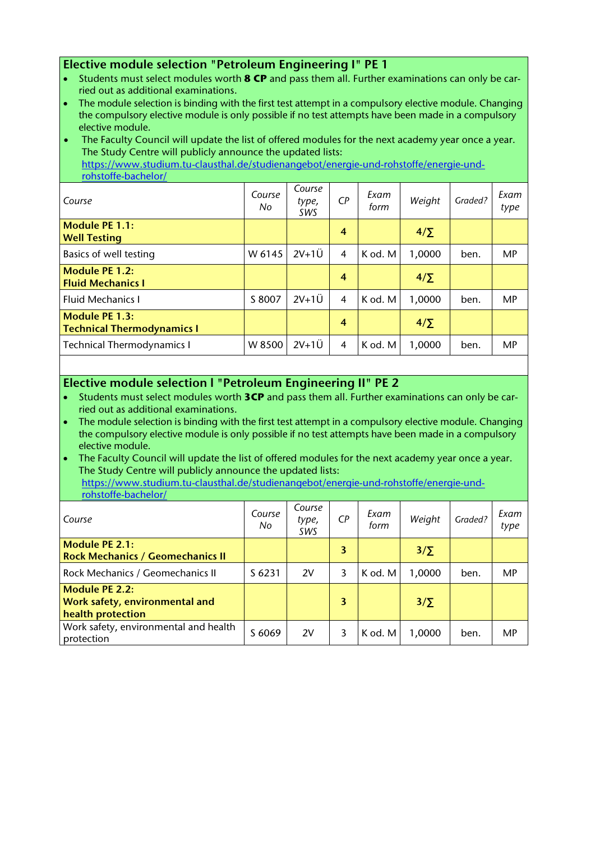#### **Elective module selection "Petroleum Engineering I" PE 1**

- Students must select modules worth **8 CP** and pass them all. Further examinations can only be carried out as additional examinations.
- The module selection is binding with the first test attempt in a compulsory elective module. Changing the compulsory elective module is only possible if no test attempts have been made in a compulsory elective module.

The Faculty Council will update the list of offered modules for the next academy year once a year. The Study Centre will publicly announce the updated lists: [https://www.studium.tu-clausthal.de/studienangebot/energie-und-rohstoffe/energie-und](https://www.studium.tu-clausthal.de/studienangebot/energie-und-rohstoffe/energie-und-rohstoffe-bachelor/)[rohstoffe-bachelor/](https://www.studium.tu-clausthal.de/studienangebot/energie-und-rohstoffe/energie-und-rohstoffe-bachelor/)

| Course                                                     | Course<br>No | Course<br>type,<br>SWS | $\mathsf{C}P$    | Exam<br>form | Weight     | Graded? | Exam<br>type |
|------------------------------------------------------------|--------------|------------------------|------------------|--------------|------------|---------|--------------|
| <b>Module PE 1.1:</b><br><b>Well Testing</b>               |              |                        | $\boldsymbol{4}$ |              | $4/\Sigma$ |         |              |
| Basics of well testing                                     | W 6145       | $2V+1U$                | $\overline{4}$   | K od. M      | 1,0000     | ben.    | MP           |
| <b>Module PE 1.2:</b><br><b>Fluid Mechanics I</b>          |              |                        | $\boldsymbol{4}$ |              | $4/\Sigma$ |         |              |
| <b>Fluid Mechanics I</b>                                   | S 8007       | $2V+1U$                | $\overline{4}$   | K od. M      | 1,0000     | ben.    | MP           |
| <b>Module PE 1.3:</b><br><b>Technical Thermodynamics I</b> |              |                        | $\overline{4}$   |              | $4/\Sigma$ |         |              |
| <b>Technical Thermodynamics I</b>                          | W 8500       | $2V+1U$                | 4                | K od. M      | 1,0000     | ben.    | <b>MP</b>    |

#### **Elective module selection l "Petroleum Engineering II" PE 2**

- Students must select modules worth **3CP** and pass them all. Further examinations can only be carried out as additional examinations.
- The module selection is binding with the first test attempt in a compulsory elective module. Changing the compulsory elective module is only possible if no test attempts have been made in a compulsory elective module.
- The Faculty Council will update the list of offered modules for the next academy year once a year. The Study Centre will publicly announce the updated lists: [https://www.studium.tu-clausthal.de/studienangebot/energie-und-rohstoffe/energie-und](https://www.studium.tu-clausthal.de/studienangebot/energie-und-rohstoffe/energie-und-rohstoffe-bachelor/)[rohstoffe-bachelor/](https://www.studium.tu-clausthal.de/studienangebot/energie-und-rohstoffe/energie-und-rohstoffe-bachelor/)

| Course                                                                | Course<br>No | Course<br>type,<br>SWS | CР | Exam<br>form | Weight     | Graded? | Exam<br>type |
|-----------------------------------------------------------------------|--------------|------------------------|----|--------------|------------|---------|--------------|
| <b>Module PE 2.1:</b><br><b>Rock Mechanics / Geomechanics II</b>      |              |                        | 3  |              | $3/\Sigma$ |         |              |
| Rock Mechanics / Geomechanics II                                      | S 6231       | 2V                     | 3  | K od. M      | 1,0000     | ben.    | MP           |
| Module PE 2.2:<br>Work safety, environmental and<br>health protection |              |                        | 3  |              | $3/\Sigma$ |         |              |
| Work safety, environmental and health<br>protection                   | S 6069       | 2V                     | 3  | K od. M      | 1,0000     | ben.    | MP           |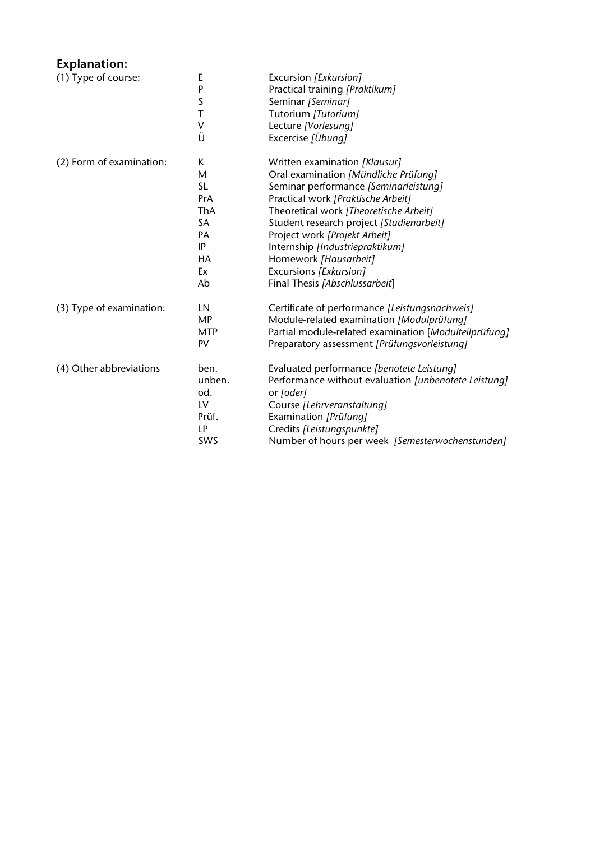## **Explanation:**

| (1) Type of course:      | E          | Excursion [Exkursion]                                 |
|--------------------------|------------|-------------------------------------------------------|
|                          | P          | Practical training [Praktikum]                        |
|                          | $\sf S$    | Seminar [Seminar]                                     |
|                          | T          | Tutorium [Tutorium]                                   |
|                          | V          | Lecture [Vorlesung]                                   |
|                          | Ü          | Excercise [Übung]                                     |
| (2) Form of examination: | Κ          | Written examination [Klausur]                         |
|                          | M          | Oral examination [Mündliche Prüfung]                  |
|                          | <b>SL</b>  | Seminar performance [Seminarleistung]                 |
|                          | <b>PrA</b> | Practical work [Praktische Arbeit]                    |
|                          | ThA        | Theoretical work [Theoretische Arbeit]                |
|                          | SA         | Student research project [Studienarbeit]              |
|                          | PA         | Project work [Projekt Arbeit]                         |
|                          | IP         | Internship [Industriepraktikum]                       |
|                          | HA         | Homework [Hausarbeit]                                 |
|                          | Ex         | Excursions [Exkursion]                                |
|                          | Ab         | Final Thesis [Abschlussarbeit]                        |
| (3) Type of examination: | LN         | Certificate of performance [Leistungsnachweis]        |
|                          | MP         | Module-related examination [Modulprüfung]             |
|                          | <b>MTP</b> | Partial module-related examination [Modulteilprüfung] |
|                          | PV         | Preparatory assessment [Prüfungsvorleistung]          |
| (4) Other abbreviations  | ben.       | Evaluated performance [benotete Leistung]             |
|                          | unben.     | Performance without evaluation [unbenotete Leistung]  |
|                          | od.        | or [oder]                                             |
|                          | LV         | Course [Lehrveranstaltung]                            |
|                          | Prüf.      | Examination [Prüfung]                                 |
|                          | LP         | Credits [Leistungspunkte]                             |
|                          | SWS        | Number of hours per week [Semesterwochenstunden]      |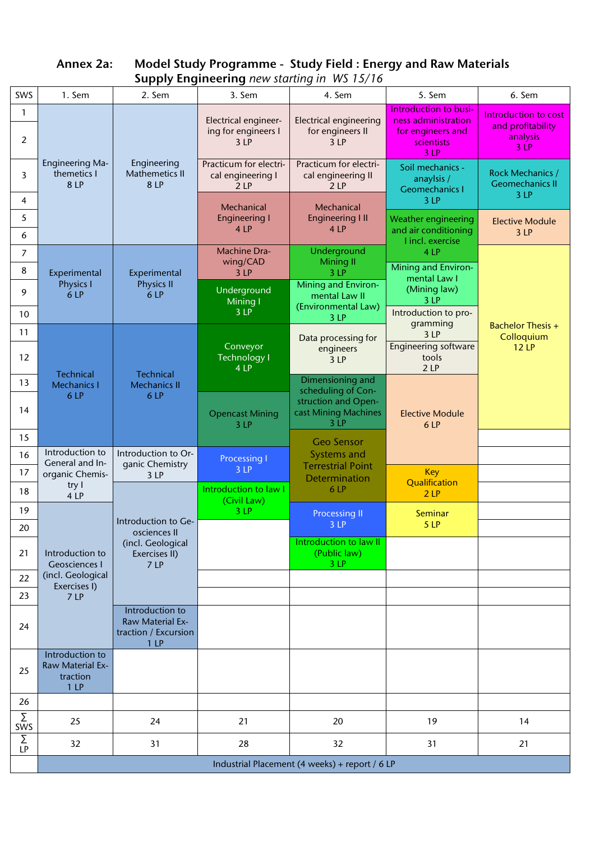| SWS                 | 1. Sem                                                 | 2. Sem                                                                         | 3. Sem                                             | supply engineering new starting in WS 13/16<br>4. Sem                | 5. Sem                                                          | 6. Sem                                                       |
|---------------------|--------------------------------------------------------|--------------------------------------------------------------------------------|----------------------------------------------------|----------------------------------------------------------------------|-----------------------------------------------------------------|--------------------------------------------------------------|
| $\mathbf{1}$        |                                                        |                                                                                |                                                    |                                                                      | Introduction to busi-                                           |                                                              |
| 2                   |                                                        |                                                                                | Electrical engineer-<br>ing for engineers I<br>3LP | <b>Electrical engineering</b><br>for engineers II<br>3 <sup>LP</sup> | ness administration<br>for engineers and<br>scientists<br>3LP   | Introduction to cost<br>and profitability<br>analysis<br>3LP |
| 3                   | <b>Engineering Ma-</b><br>themetics I<br>8 LP          | Engineering<br>Mathemetics II<br>8 LP                                          | Practicum for electri-<br>cal engineering I<br>2LP | Practicum for electri-<br>cal engineering II<br>2LP                  | Soil mechanics -<br>anaylsis /<br><b>Geomechanics I</b><br>3LP  | <b>Rock Mechanics /</b><br><b>Geomechanics II</b><br>3LP     |
| 4                   |                                                        |                                                                                | Mechanical                                         | Mechanical                                                           |                                                                 |                                                              |
| 5<br>6              |                                                        |                                                                                | <b>Engineering I</b><br>4 LP                       | <b>Engineering III</b><br>4 LP                                       | Weather engineering<br>and air conditioning<br>I incl. exercise | <b>Elective Module</b><br>3LP                                |
| $\overline{7}$<br>8 | Experimental                                           | Experimental                                                                   | <b>Machine Dra-</b><br>wing/CAD<br>3LP             | Underground<br><b>Mining II</b><br>3 LP                              | 4 LP<br>Mining and Environ-                                     |                                                              |
| 9                   | <b>Physics I</b><br>6 LP                               | <b>Physics II</b><br>6 LP                                                      | Underground<br><b>Mining I</b>                     | Mining and Environ-<br>mental Law II<br>(Environmental Law)          | mental Law I<br>(Mining law)<br>3 LP                            |                                                              |
| 10                  |                                                        |                                                                                | 3 LP                                               | 3 LP                                                                 | Introduction to pro-<br>gramming                                | <b>Bachelor Thesis +</b>                                     |
| 11                  |                                                        |                                                                                | Conveyor                                           | Data processing for                                                  | 3LP<br><b>Engineering software</b>                              | Colloquium<br><b>12 LP</b>                                   |
| 12                  | <b>Technical</b>                                       | Technical                                                                      | <b>Technology I</b><br>4 LP                        | engineers<br>3 LP                                                    | tools<br>2LP                                                    |                                                              |
| 13                  | <b>Mechanics I</b><br>6 LP                             | <b>Mechanics II</b><br>6LP                                                     |                                                    | Dimensioning and<br>scheduling of Con-                               |                                                                 |                                                              |
| 14                  |                                                        |                                                                                | <b>Opencast Mining</b><br>3 LP                     | struction and Open-<br>cast Mining Machines<br>3 <sup>LP</sup>       | <b>Elective Module</b><br>6 LP                                  |                                                              |
| 15                  |                                                        |                                                                                |                                                    | <b>Geo Sensor</b>                                                    |                                                                 |                                                              |
| 16                  | Introduction to<br>General and In-                     | Introduction to Or-<br>ganic Chemistry                                         | <b>Processing I</b>                                | Systems and<br><b>Terrestrial Point</b>                              |                                                                 |                                                              |
| 17                  | organic Chemis-                                        | 3 LP                                                                           | 3LP                                                | <b>Determination</b>                                                 | <b>Key</b><br>Qualification                                     |                                                              |
| 18                  | try I<br>4 LP                                          |                                                                                | Introduction to law I<br>(Civil Law)               | 6 LP                                                                 | 2LP                                                             |                                                              |
| 19                  |                                                        | Introduction to Ge-                                                            | 3LP                                                | <b>Processing II</b>                                                 | <b>Seminar</b>                                                  |                                                              |
| 20                  |                                                        | osciences II                                                                   |                                                    | 3 <sup>2</sup><br>Introduction to law II                             | 5LP                                                             |                                                              |
| 21                  | Introduction to<br><b>Geosciences I</b>                | (incl. Geological<br>Exercises II)<br>7LP                                      |                                                    | (Public law)<br>3LP                                                  |                                                                 |                                                              |
| 22                  | (incl. Geological<br>Exercises I)                      |                                                                                |                                                    |                                                                      |                                                                 |                                                              |
| 23                  | 7 LP                                                   |                                                                                |                                                    |                                                                      |                                                                 |                                                              |
| 24                  |                                                        | Introduction to<br>Raw Material Ex-<br>traction / Excursion<br>1 <sub>LP</sub> |                                                    |                                                                      |                                                                 |                                                              |
| 25                  | Introduction to<br>Raw Material Ex-<br>traction<br>1LP |                                                                                |                                                    |                                                                      |                                                                 |                                                              |
| 26                  |                                                        |                                                                                |                                                    |                                                                      |                                                                 |                                                              |
| Σ<br>SWS            | 25                                                     | 24                                                                             | 21                                                 | 20                                                                   | 19                                                              | 14                                                           |
| $\sum_{LP}$         | 32                                                     | 31                                                                             | 28                                                 | 32                                                                   | 31                                                              | 21                                                           |
|                     |                                                        |                                                                                |                                                    | Industrial Placement (4 weeks) + report / 6 LP                       |                                                                 |                                                              |

**Annex 2a: Model Study Programme - Study Field : Energy and Raw Materials Supply Engineering** *new starting in WS 15/16*